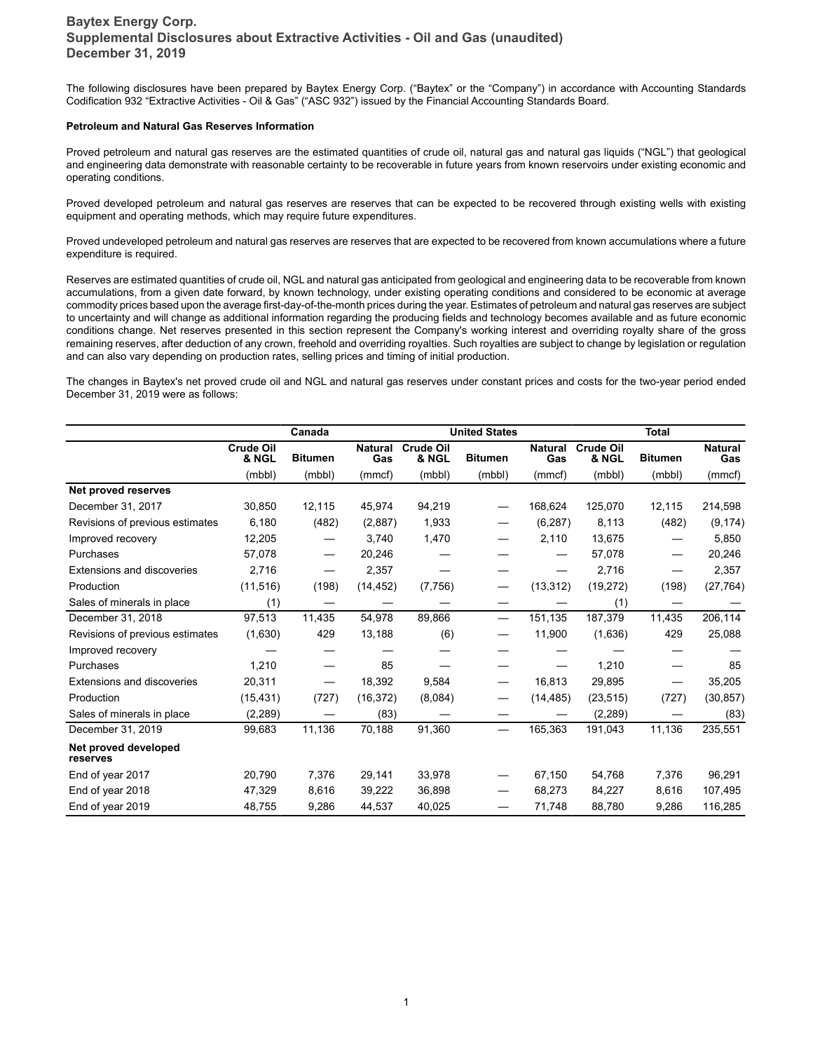The following disclosures have been prepared by Baytex Energy Corp. ("Baytex" or the "Company") in accordance with Accounting Standards Codification 932 "Extractive Activities - Oil & Gas" ("ASC 932") issued by the Financial Accounting Standards Board.

#### **Petroleum and Natural Gas Reserves Information**

Proved petroleum and natural gas reserves are the estimated quantities of crude oil, natural gas and natural gas liquids ("NGL") that geological and engineering data demonstrate with reasonable certainty to be recoverable in future years from known reservoirs under existing economic and operating conditions.

Proved developed petroleum and natural gas reserves are reserves that can be expected to be recovered through existing wells with existing equipment and operating methods, which may require future expenditures.

Proved undeveloped petroleum and natural gas reserves are reserves that are expected to be recovered from known accumulations where a future expenditure is required.

Reserves are estimated quantities of crude oil, NGL and natural gas anticipated from geological and engineering data to be recoverable from known accumulations, from a given date forward, by known technology, under existing operating conditions and considered to be economic at average commodity prices based upon the average first-day-of-the-month prices during the year. Estimates of petroleum and natural gas reserves are subject to uncertainty and will change as additional information regarding the producing fields and technology becomes available and as future economic conditions change. Net reserves presented in this section represent the Company's working interest and overriding royalty share of the gross remaining reserves, after deduction of any crown, freehold and overriding royalties. Such royalties are subject to change by legislation or regulation and can also vary depending on production rates, selling prices and timing of initial production.

The changes in Baytex's net proved crude oil and NGL and natural gas reserves under constant prices and costs for the two-year period ended December 31, 2019 were as follows:

|                                   |                           | Canada         |                       |                           | <b>United States</b>     |                       |                           | <b>Total</b>   |                       |
|-----------------------------------|---------------------------|----------------|-----------------------|---------------------------|--------------------------|-----------------------|---------------------------|----------------|-----------------------|
|                                   | <b>Crude Oil</b><br>& NGL | <b>Bitumen</b> | <b>Natural</b><br>Gas | <b>Crude Oil</b><br>& NGL | <b>Bitumen</b>           | <b>Natural</b><br>Gas | <b>Crude Oil</b><br>& NGL | <b>Bitumen</b> | <b>Natural</b><br>Gas |
|                                   | (mbbl)                    | (mbbl)         | (mmcf)                | (mbbl)                    | (mbbl)                   | (mmcf)                | (mbbl)                    | (mbbl)         | (mmcf)                |
| Net proved reserves               |                           |                |                       |                           |                          |                       |                           |                |                       |
| December 31, 2017                 | 30,850                    | 12,115         | 45,974                | 94,219                    |                          | 168,624               | 125,070                   | 12,115         | 214,598               |
| Revisions of previous estimates   | 6,180                     | (482)          | (2,887)               | 1,933                     |                          | (6, 287)              | 8,113                     | (482)          | (9, 174)              |
| Improved recovery                 | 12,205                    |                | 3,740                 | 1,470                     |                          | 2,110                 | 13,675                    |                | 5,850                 |
| Purchases                         | 57,078                    |                | 20,246                |                           |                          |                       | 57,078                    |                | 20,246                |
| <b>Extensions and discoveries</b> | 2,716                     |                | 2,357                 |                           |                          |                       | 2,716                     |                | 2,357                 |
| Production                        | (11, 516)                 | (198)          | (14, 452)             | (7,756)                   |                          | (13, 312)             | (19, 272)                 | (198)          | (27, 764)             |
| Sales of minerals in place        | (1)                       |                |                       |                           |                          |                       | (1)                       |                |                       |
| December 31, 2018                 | 97,513                    | 11,435         | 54,978                | 89,866                    | $\overline{\phantom{0}}$ | 151,135               | 187,379                   | 11,435         | 206,114               |
| Revisions of previous estimates   | (1,630)                   | 429            | 13,188                | (6)                       |                          | 11,900                | (1,636)                   | 429            | 25,088                |
| Improved recovery                 |                           |                |                       |                           |                          |                       |                           |                |                       |
| Purchases                         | 1,210                     |                | 85                    |                           |                          |                       | 1,210                     |                | 85                    |
| <b>Extensions and discoveries</b> | 20,311                    |                | 18,392                | 9,584                     |                          | 16,813                | 29,895                    |                | 35,205                |
| Production                        | (15, 431)                 | (727)          | (16, 372)             | (8,084)                   |                          | (14, 485)             | (23, 515)                 | (727)          | (30, 857)             |
| Sales of minerals in place        | (2, 289)                  |                | (83)                  |                           |                          |                       | (2,289)                   |                | (83)                  |
| December 31, 2019                 | 99,683                    | 11,136         | 70,188                | 91,360                    |                          | 165,363               | 191,043                   | 11,136         | 235,551               |
| Net proved developed<br>reserves  |                           |                |                       |                           |                          |                       |                           |                |                       |
| End of year 2017                  | 20,790                    | 7,376          | 29,141                | 33,978                    |                          | 67,150                | 54,768                    | 7,376          | 96,291                |
| End of year 2018                  | 47,329                    | 8,616          | 39,222                | 36,898                    |                          | 68,273                | 84,227                    | 8,616          | 107,495               |
| End of year 2019                  | 48,755                    | 9,286          | 44,537                | 40,025                    |                          | 71,748                | 88,780                    | 9,286          | 116,285               |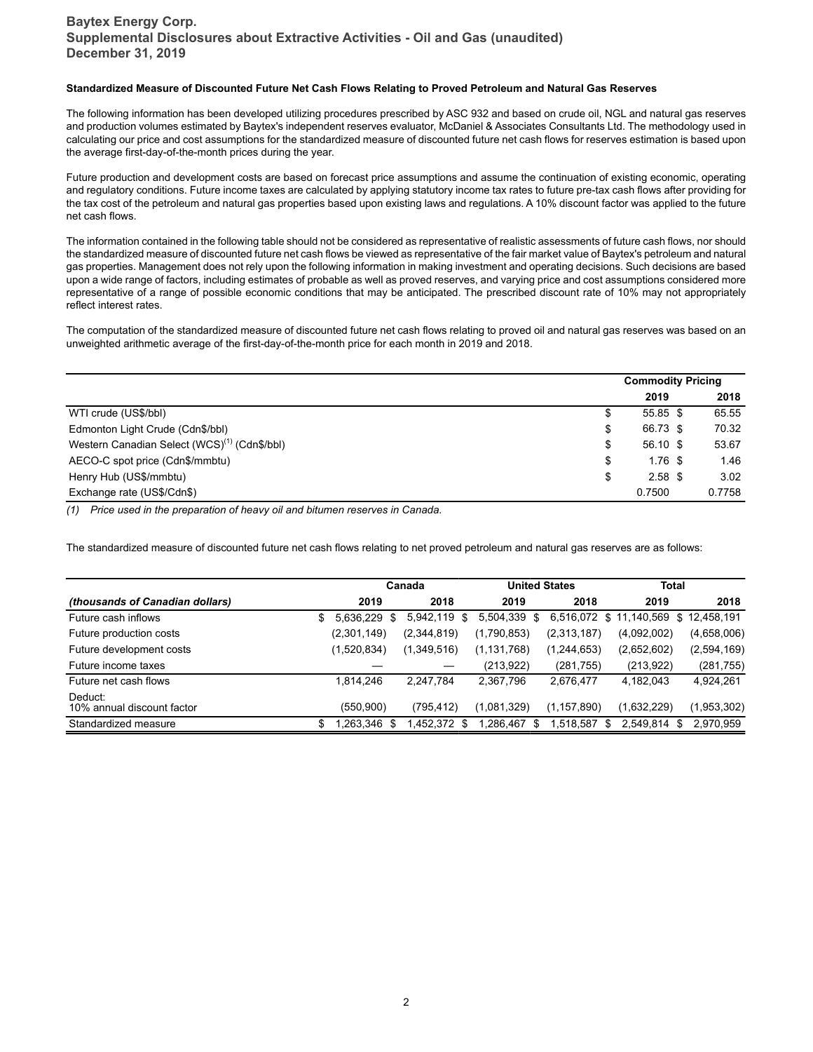#### **Standardized Measure of Discounted Future Net Cash Flows Relating to Proved Petroleum and Natural Gas Reserves**

The following information has been developed utilizing procedures prescribed by ASC 932 and based on crude oil, NGL and natural gas reserves and production volumes estimated by Baytex's independent reserves evaluator, McDaniel & Associates Consultants Ltd. The methodology used in calculating our price and cost assumptions for the standardized measure of discounted future net cash flows for reserves estimation is based upon the average first-day-of-the-month prices during the year.

Future production and development costs are based on forecast price assumptions and assume the continuation of existing economic, operating and regulatory conditions. Future income taxes are calculated by applying statutory income tax rates to future pre-tax cash flows after providing for the tax cost of the petroleum and natural gas properties based upon existing laws and regulations. A 10% discount factor was applied to the future net cash flows.

The information contained in the following table should not be considered as representative of realistic assessments of future cash flows, nor should the standardized measure of discounted future net cash flows be viewed as representative of the fair market value of Baytex's petroleum and natural gas properties. Management does not rely upon the following information in making investment and operating decisions. Such decisions are based upon a wide range of factors, including estimates of probable as well as proved reserves, and varying price and cost assumptions considered more representative of a range of possible economic conditions that may be anticipated. The prescribed discount rate of 10% may not appropriately reflect interest rates.

The computation of the standardized measure of discounted future net cash flows relating to proved oil and natural gas reserves was based on an unweighted arithmetic average of the first-day-of-the-month price for each month in 2019 and 2018.

|                                                          | <b>Commodity Pricing</b> |  |        |
|----------------------------------------------------------|--------------------------|--|--------|
|                                                          | 2019                     |  | 2018   |
| WTI crude (US\$/bbl)                                     | \$<br>$55.85$ \$         |  | 65.55  |
| Edmonton Light Crude (Cdn\$/bbl)                         | \$<br>66.73 \$           |  | 70.32  |
| Western Canadian Select (WCS) <sup>(1)</sup> (Cdn\$/bbl) | \$<br>$56.10$ \$         |  | 53.67  |
| AECO-C spot price (Cdn\$/mmbtu)                          | \$<br>$1.76$ \$          |  | 1.46   |
| Henry Hub (US\$/mmbtu)                                   | \$<br>$2.58$ \$          |  | 3.02   |
| Exchange rate (US\$/Cdn\$)                               | 0.7500                   |  | 0.7758 |

*(1) Price used in the preparation of heavy oil and bitumen reserves in Canada.*

The standardized measure of discounted future net cash flows relating to net proved petroleum and natural gas reserves are as follows:

|                                        |                 | <b>United States</b><br>Canada |               | <b>Total</b>  |                          |             |
|----------------------------------------|-----------------|--------------------------------|---------------|---------------|--------------------------|-------------|
| <i>(thousands of Canadian dollars)</i> | 2019            | 2018                           | 2019          | 2018          | 2019                     | 2018        |
| Future cash inflows                    | 5.636.229<br>S  | 5,942,119<br>S                 | 5,504,339 \$  | 6,516,072 \$  | 11,140,569 \$ 12,458,191 |             |
| Future production costs                | (2,301,149)     | (2,344,819)                    | (1,790,853)   | (2,313,187)   | (4,092,002)              | (4,658,006) |
| Future development costs               | (1,520,834)     | (1,349,516)                    | (1, 131, 768) | (1,244,653)   | (2,652,602)              | (2,594,169) |
| Future income taxes                    |                 |                                | (213, 922)    | (281, 755)    | (213, 922)               | (281, 755)  |
| Future net cash flows                  | 1.814.246       | 2,247,784                      | 2,367,796     | 2,676,477     | 4.182.043                | 4,924,261   |
| Deduct:<br>10% annual discount factor  | (550, 900)      | (795, 412)                     | (1,081,329)   | (1, 157, 890) | (1,632,229)              | (1,953,302) |
| Standardized measure                   | .263.346<br>-SS | 1.452.372 \$                   | 1,286,467 \$  | 1,518,587 \$  | 2,549,814 \$             | 2,970,959   |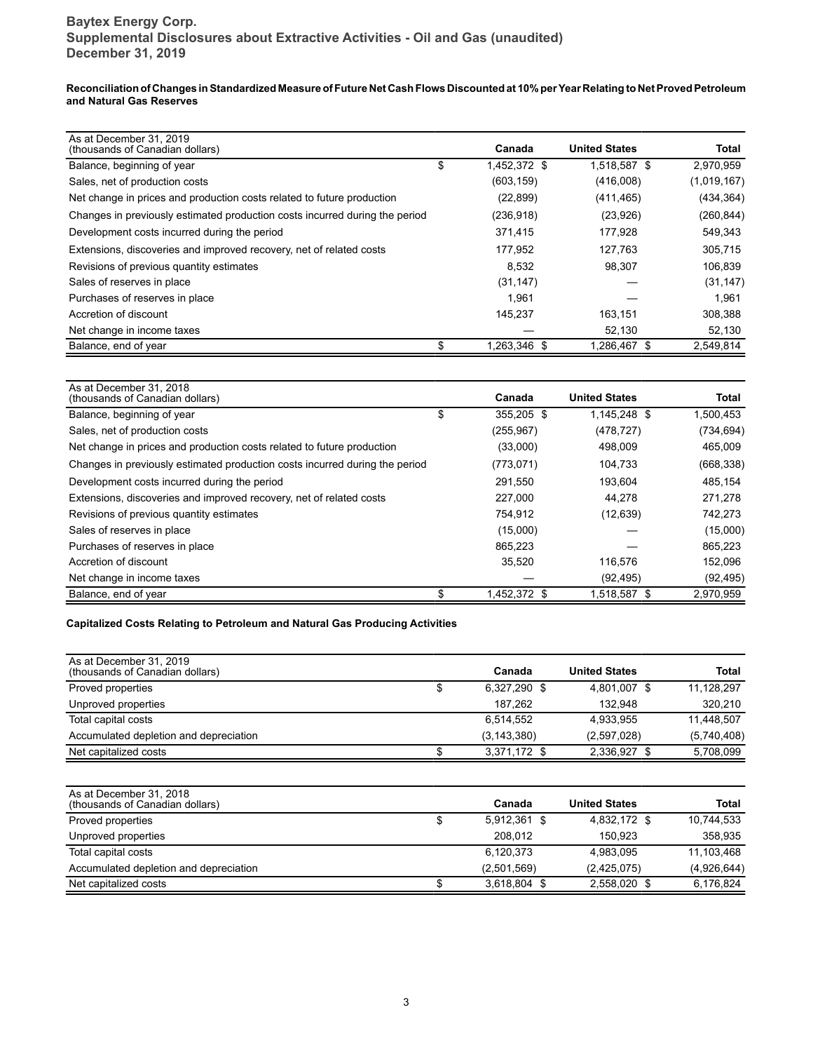**Reconciliation of Changes in Standardized Measure of Future Net Cash Flows Discounted at 10% per Year Relating to Net Proved Petroleum and Natural Gas Reserves**

| As at December 31, 2019<br>(thousands of Canadian dollars)                  |    | Canada       | <b>United States</b> | Total       |
|-----------------------------------------------------------------------------|----|--------------|----------------------|-------------|
| Balance, beginning of year                                                  | \$ | 1,452,372 \$ | 1,518,587 \$         | 2,970,959   |
| Sales, net of production costs                                              |    | (603, 159)   | (416,008)            | (1,019,167) |
| Net change in prices and production costs related to future production      |    | (22, 899)    | (411, 465)           | (434, 364)  |
| Changes in previously estimated production costs incurred during the period |    | (236, 918)   | (23,926)             | (260, 844)  |
| Development costs incurred during the period                                |    | 371,415      | 177.928              | 549,343     |
| Extensions, discoveries and improved recovery, net of related costs         |    | 177,952      | 127.763              | 305,715     |
| Revisions of previous quantity estimates                                    |    | 8,532        | 98.307               | 106,839     |
| Sales of reserves in place                                                  |    | (31, 147)    |                      | (31, 147)   |
| Purchases of reserves in place                                              |    | 1.961        |                      | 1.961       |
| Accretion of discount                                                       |    | 145.237      | 163.151              | 308,388     |
| Net change in income taxes                                                  |    |              | 52,130               | 52,130      |
| Balance, end of year                                                        | ፍ  | 1,263,346 \$ | 1,286,467 \$         | 2,549,814   |

| As at December 31, 2018<br>(thousands of Canadian dollars)                  | Canada           | <b>United States</b> | Total      |
|-----------------------------------------------------------------------------|------------------|----------------------|------------|
| Balance, beginning of year                                                  | \$<br>355.205 \$ | 1.145.248 \$         | 1,500,453  |
| Sales, net of production costs                                              | (255, 967)       | (478, 727)           | (734, 694) |
| Net change in prices and production costs related to future production      | (33,000)         | 498,009              | 465,009    |
| Changes in previously estimated production costs incurred during the period | (773, 071)       | 104,733              | (668, 338) |
| Development costs incurred during the period                                | 291,550          | 193,604              | 485,154    |
| Extensions, discoveries and improved recovery, net of related costs         | 227.000          | 44.278               | 271.278    |
| Revisions of previous quantity estimates                                    | 754,912          | (12, 639)            | 742,273    |
| Sales of reserves in place                                                  | (15,000)         |                      | (15,000)   |
| Purchases of reserves in place                                              | 865,223          |                      | 865,223    |
| Accretion of discount                                                       | 35,520           | 116.576              | 152,096    |
| Net change in income taxes                                                  |                  | (92, 495)            | (92, 495)  |
| Balance, end of year                                                        | 1,452,372 \$     | 1,518,587 \$         | 2,970,959  |

#### **Capitalized Costs Relating to Petroleum and Natural Gas Producing Activities**

| As at December 31, 2019<br>(thousands of Canadian dollars) | Canada        | <b>United States</b> | Total       |
|------------------------------------------------------------|---------------|----------------------|-------------|
| Proved properties                                          | 6,327,290 \$  | 4,801,007 \$         | 11,128,297  |
| Unproved properties                                        | 187.262       | 132.948              | 320.210     |
| Total capital costs                                        | 6.514.552     | 4.933.955            | 11.448.507  |
| Accumulated depletion and depreciation                     | (3, 143, 380) | (2,597,028)          | (5,740,408) |
| Net capitalized costs                                      | 3,371,172 \$  | 2.336.927 \$         | 5,708,099   |

| As at December 31, 2018<br>(thousands of Canadian dollars) | Canada       | <b>United States</b> | <b>Total</b> |
|------------------------------------------------------------|--------------|----------------------|--------------|
| Proved properties                                          | 5.912.361 \$ | 4.832.172 \$         | 10,744,533   |
| Unproved properties                                        | 208.012      | 150.923              | 358.935      |
| Total capital costs                                        | 6,120,373    | 4,983,095            | 11,103,468   |
| Accumulated depletion and depreciation                     | (2,501,569)  | (2,425,075)          | (4,926,644)  |
| Net capitalized costs                                      | 3.618.804 \$ | 2.558.020 \$         | 6,176,824    |